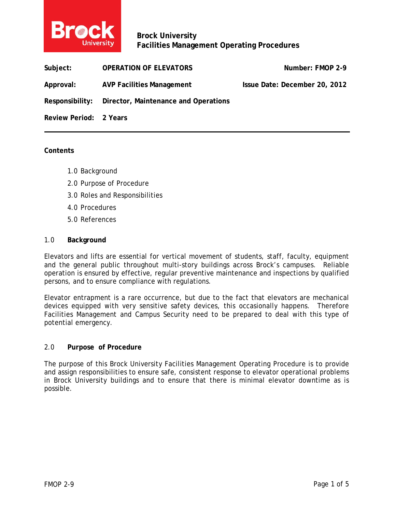

**Brock University Facilities Management Operating Procedures** 

| Subject:               | <b>OPERATION OF ELEVATORS</b>                        | Number: FMOP 2-9              |
|------------------------|------------------------------------------------------|-------------------------------|
| Approval:              | <b>AVP Facilities Management</b>                     | Issue Date: December 20, 2012 |
|                        | Responsibility: Director, Maintenance and Operations |                               |
| Review Period: 2 Years |                                                      |                               |

### **Contents**

- 1.0 Background
- 2.0 Purpose of Procedure
- 3.0 Roles and Responsibilities
- 4.0 Procedures
- 5.0 References

### 1.0 **Background**

Elevators and lifts are essential for vertical movement of students, staff, faculty, equipment and the general public throughout multi-story buildings across Brock's campuses. Reliable operation is ensured by effective, regular preventive maintenance and inspections by qualified persons, and to ensure compliance with regulations.

Elevator entrapment is a rare occurrence, but due to the fact that elevators are mechanical devices equipped with very sensitive safety devices, this occasionally happens. Therefore Facilities Management and Campus Security need to be prepared to deal with this type of potential emergency.

### 2.0 **Purpose of Procedure**

The purpose of this Brock University Facilities Management Operating Procedure is to provide and assign responsibilities to ensure safe, consistent response to elevator operational problems in Brock University buildings and to ensure that there is minimal elevator downtime as is possible.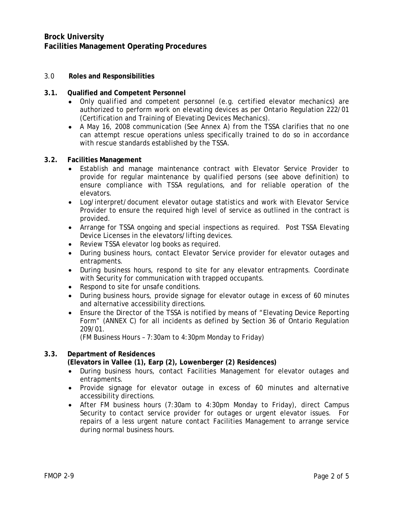# **Brock University Facilities Management Operating Procedures**

## 3.0 **Roles and Responsibilities**

### **3.1. Qualified and Competent Personnel**

- Only *qualified and competent personnel* (e.g. certified elevator mechanics) are authorized to perform work on elevating devices as per Ontario Regulation 222/01 (Certification and Training of Elevating Devices Mechanics).
- A May 16, 2008 communication (See Annex A) from the TSSA clarifies that no one can attempt rescue operations unless specifically trained to do so in accordance with rescue standards established by the TSSA.

### **3.2. Facilities Management**

- Establish and manage maintenance contract with Elevator Service Provider to provide for regular maintenance by *qualified* persons (see above definition) to ensure compliance with TSSA regulations, and for reliable operation of the elevators.
- Log/interpret/document elevator outage statistics and work with Elevator Service Provider to ensure the required high level of service as outlined in the contract is provided.
- Arrange for TSSA ongoing and special inspections as required. Post TSSA Elevating Device Licenses in the elevators/lifting devices.
- Review TSSA elevator log books as required.
- During business hours, contact Elevator Service provider for elevator outages and entrapments.
- During business hours, respond to site for any elevator entrapments. Coordinate with Security for communication with trapped occupants.
- Respond to site for unsafe conditions.
- During business hours, provide signage for elevator outage in excess of 60 minutes and alternative accessibility directions.
- Ensure the Director of the TSSA is notified by means of "Elevating Device Reporting Form" (ANNEX C) for all incidents as defined by Section 36 of Ontario Regulation 209/01.

(FM Business Hours – 7:30am to 4:30pm Monday to Friday)

# **3.3. Department of Residences**

**(Elevators in Vallee (1), Earp (2), Lowenberger (2) Residences)** 

- During business hours, contact Facilities Management for elevator outages and entrapments.
- Provide signage for elevator outage in excess of 60 minutes and alternative accessibility directions.
- After FM business hours (7:30am to 4:30pm Monday to Friday), direct Campus Security to contact service provider for outages or urgent elevator issues. For repairs of a less urgent nature contact Facilities Management to arrange service during normal business hours.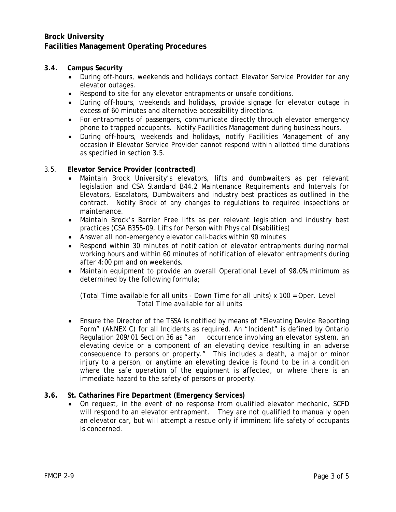# **Brock University Facilities Management Operating Procedures**

# **3.4. Campus Security**

- During off-hours, weekends and holidays contact Elevator Service Provider for any elevator outages.
- Respond to site for any elevator entrapments or unsafe conditions.
- During off-hours, weekends and holidays, provide signage for elevator outage in excess of 60 minutes and alternative accessibility directions.
- For entrapments of passengers, communicate directly through elevator emergency phone to trapped occupants. Notify Facilities Management during business hours.
- During off-hours, weekends and holidays, notify Facilities Management of any occasion if Elevator Service Provider cannot respond within allotted time durations as specified in section 3.5.

## 3.5. **Elevator Service Provider (contracted)**

- Maintain Brock University's elevators, lifts and dumbwaiters as per relevant legislation and CSA Standard B44.2 Maintenance Requirements and Intervals for Elevators, Escalators, Dumbwaiters and industry best practices as outlined in the contract. Notify Brock of any changes to regulations to required inspections or maintenance.
- Maintain Brock's Barrier Free lifts as per relevant legislation and industry best practices (CSA B355-09, Lifts for Person with Physical Disabilities)
- Answer all non-emergency elevator call-backs within 90 minutes
- Respond within 30 minutes of notification of elevator entrapments during normal working hours and within 60 minutes of notification of elevator entrapments during after 4:00 pm and on weekends.
- Maintain equipment to provide an overall Operational Level of 98.0% minimum as determined by the following formula;

(Total Time available for all units - Down Time for all units) x 100 = Oper. Level Total Time available for all units

 Ensure the Director of the TSSA is notified by means of "Elevating Device Reporting Form" (ANNEX C) for all Incidents as required. An "Incident" is defined by Ontario Regulation 209/01 Section 36 as "an occurrence involving an elevator system, an elevating device or a component of an elevating device resulting in an adverse consequence to persons or property." This includes a death, a major or minor injury to a person, or anytime an elevating device is found to be in a condition where the safe operation of the equipment is affected, or where there is an immediate hazard to the safety of persons or property.

## **3.6. St. Catharines Fire Department (Emergency Services)**

 On request, in the event of no response from qualified elevator mechanic, SCFD will respond to an elevator entrapment. They are not qualified to manually open an elevator car, but will attempt a rescue only if imminent life safety of occupants is concerned.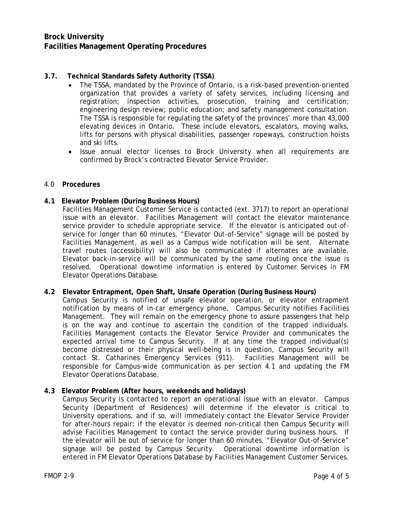# **3.7. Technical Standards Safety Authority (TSSA)**

- The TSSA, mandated by the Province of Ontario, is a risk-based prevention-oriented organization that provides a variety of safety services, including licensing and registration; inspection activities, prosecution, training and certification; engineering design review; public education; and safety management consultation. The TSSA is responsible for regulating the safety of the provinces' more than 43,000 elevating devices in Ontario. These include elevators, escalators, moving walks, lifts for persons with physical disabilities, passenger ropeways, construction hoists and ski lifts.
- Issue annual elector licenses to Brock University when all requirements are confirmed by Brock's contracted Elevator Service Provider.

### 4.0 **Procedures**

## **4.1 Elevator Problem (During Business Hours)**

Facilities Management Customer Service is contacted (ext. 3717) to report an operational issue with an elevator. Facilities Management will contact the elevator maintenance service provider to schedule appropriate service. If the elevator is anticipated out-ofservice for longer than 60 minutes, "Elevator Out-of-Service" signage will be posted by Facilities Management, as well as a Campus wide notification will be sent. Alternate travel routes (accessibility) will also be communicated if alternates are available. Elevator back-in-service will be communicated by the same routing once the issue is resolved. Operational downtime information is entered by Customer Services in FM Elevator Operations Database.

### **4.2 Elevator Entrapment, Open Shaft, Unsafe Operation (During Business Hours)**

Campus Security is notified of unsafe elevator operation, or elevator entrapment notification by means of in-car emergency phone. Campus Security notifies Facilities Management. They will remain on the emergency phone to assure passengers that help is on the way and continue to ascertain the condition of the trapped individuals. Facilities Management contacts the Elevator Service Provider and communicates the expected arrival time to Campus Security. If at any time the trapped individual(s) become distressed or their physical well-being is in question, Campus Security will contact St. Catharines Emergency Services (911). Facilities Management will be responsible for Campus-wide communication as per section 4.1 and updating the FM Elevator Operations Database.

## **4.3 Elevator Problem (After hours, weekends and holidays)**

Campus Security is contacted to report an operational issue with an elevator. Campus Security (Department of Residences) will determine if the elevator is critical to University operations, and if so, will immediately contact the Elevator Service Provider for after-hours repair; if the elevator is deemed non-critical then Campus Security will advise Facilities Management to contact the service provider during business hours. If the elevator will be out of service for longer than 60 minutes, "Elevator Out-of-Service" signage will be posted by Campus Security. Operational downtime information is entered in FM Elevator Operations Database by Facilities Management Customer Services.